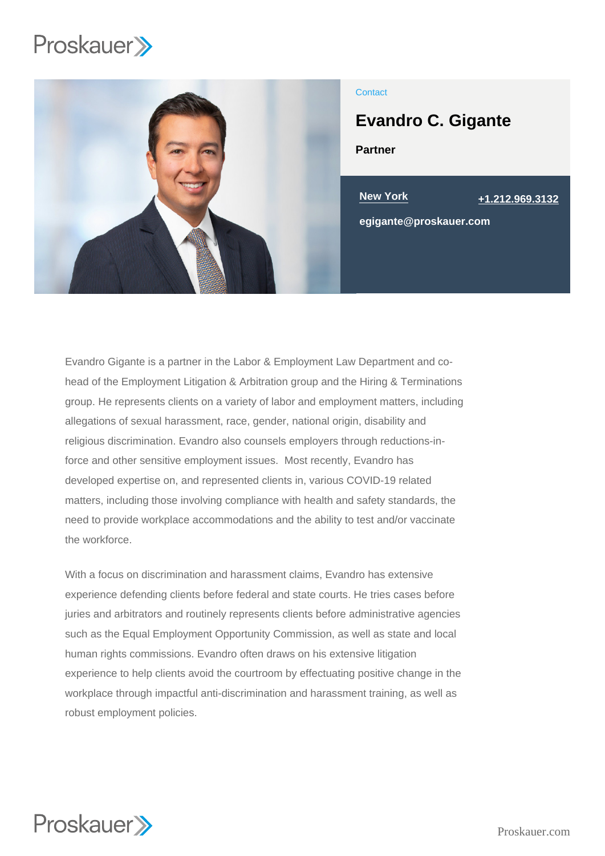

# **Contact**

# Evandro C. Gigante

Partner

New York [+1.212.969.3132](tel:+1.212.969.3132)

egigante@proskauer.com

Evandro Gigante is a partner in the Labor & Employment Law Department and cohead of the Employment Litigation & Arbitration group and the Hiring & Terminations group. He represents clients on a variety of labor and employment matters, including allegations of sexual harassment, race, gender, national origin, disability and religious discrimination. Evandro also counsels employers through reductions-inforce and other sensitive employment issues. Most recently, Evandro has developed expertise on, and represented clients in, various COVID-19 related matters, including those involving compliance with health and safety standards, the need to provide workplace accommodations and the ability to test and/or vaccinate the workforce.

With a focus on discrimination and harassment claims, Evandro has extensive experience defending clients before federal and state courts. He tries cases before juries and arbitrators and routinely represents clients before administrative agencies such as the Equal Employment Opportunity Commission, as well as state and local human rights commissions. Evandro often draws on his extensive litigation experience to help clients avoid the courtroom by effectuating positive change in the workplace through impactful anti-discrimination and harassment training, as well as robust employment policies.

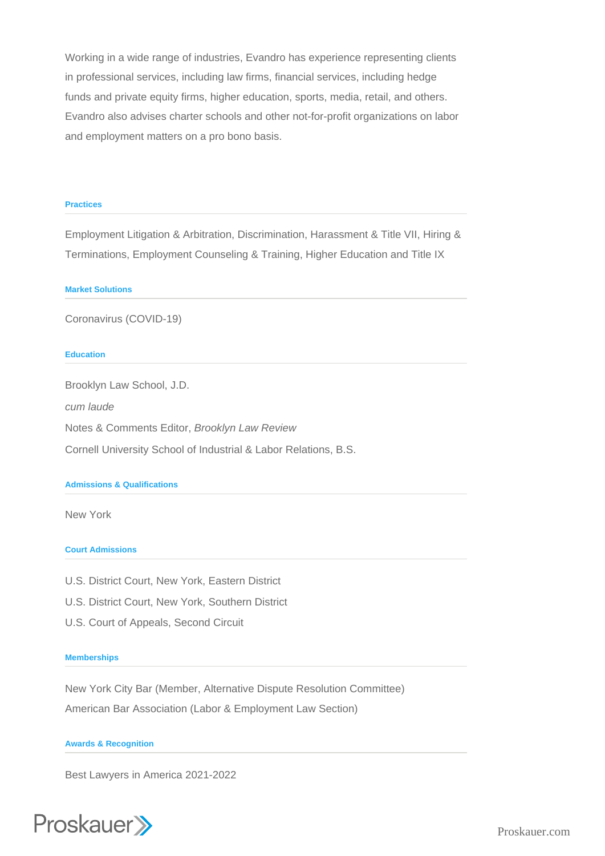Working in a wide range of industries, Evandro has experience representing clients in professional services, including law firms, financial services, including hedge funds and private equity firms, higher education, sports, media, retail, and others. Evandro also advises charter schools and other not-for-profit organizations on labor and employment matters on a pro bono basis.

#### **Practices**

Employment Litigation & Arbitration, Discrimination, Harassment & Title VII, Hiring & Terminations, Employment Counseling & Training, Higher Education and Title IX

## **Market Solutions**

Coronavirus (COVID-19)

#### **Education**

Brooklyn Law School, J.D. cum laude Notes & Comments Editor, Brooklyn Law Review Cornell University School of Industrial & Labor Relations, B.S.

#### **Admissions & Qualifications**

New York

# **Court Admissions**

- U.S. District Court, New York, Eastern District
- U.S. District Court, New York, Southern District
- U.S. Court of Appeals, Second Circuit

#### **Memberships**

New York City Bar (Member, Alternative Dispute Resolution Committee) American Bar Association (Labor & Employment Law Section)

#### **Awards & Recognition**

Best Lawyers in America 2021-2022